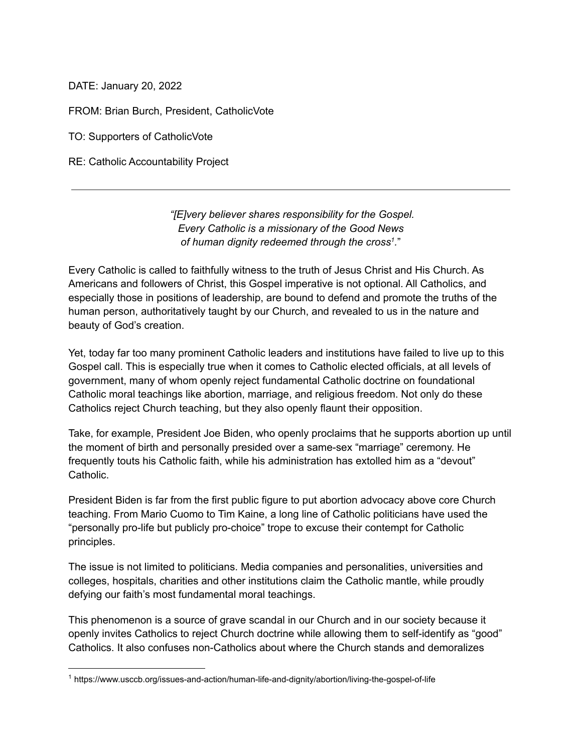DATE: January 20, 2022

FROM: Brian Burch, President, CatholicVote

TO: Supporters of CatholicVote

RE: Catholic Accountability Project

*"[E]very believer shares responsibility for the Gospel. Every Catholic is a missionary of the Good News of human dignity redeemed through the cross 1 .*"

Every Catholic is called to faithfully witness to the truth of Jesus Christ and His Church. As Americans and followers of Christ, this Gospel imperative is not optional. All Catholics, and especially those in positions of leadership, are bound to defend and promote the truths of the human person, authoritatively taught by our Church, and revealed to us in the nature and beauty of God's creation.

Yet, today far too many prominent Catholic leaders and institutions have failed to live up to this Gospel call. This is especially true when it comes to Catholic elected officials, at all levels of government, many of whom openly reject fundamental Catholic doctrine on foundational Catholic moral teachings like abortion, marriage, and religious freedom. Not only do these Catholics reject Church teaching, but they also openly flaunt their opposition.

Take, for example, President Joe Biden, who openly proclaims that he supports abortion up until the moment of birth and personally presided over a same-sex "marriage" ceremony. He frequently touts his Catholic faith, while his administration has extolled him as a "devout" Catholic.

President Biden is far from the first public figure to put abortion advocacy above core Church teaching. From Mario Cuomo to Tim Kaine, a long line of Catholic politicians have used the "personally pro-life but publicly pro-choice" trope to excuse their contempt for Catholic principles.

The issue is not limited to politicians. Media companies and personalities, universities and colleges, hospitals, charities and other institutions claim the Catholic mantle, while proudly defying our faith's most fundamental moral teachings.

This phenomenon is a source of grave scandal in our Church and in our society because it openly invites Catholics to reject Church doctrine while allowing them to self-identify as "good" Catholics. It also confuses non-Catholics about where the Church stands and demoralizes

<sup>1</sup> https://www.usccb.org/issues-and-action/human-life-and-dignity/abortion/living-the-gospel-of-life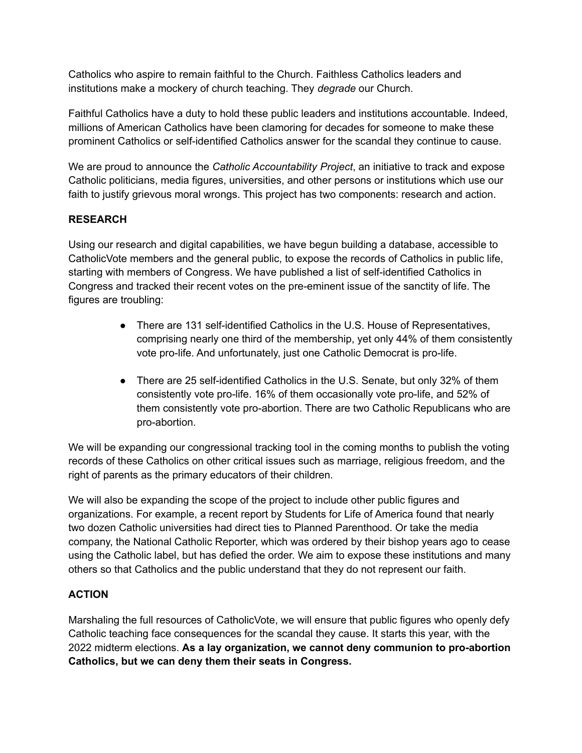Catholics who aspire to remain faithful to the Church. Faithless Catholics leaders and institutions make a mockery of church teaching. They *degrade* our Church.

Faithful Catholics have a duty to hold these public leaders and institutions accountable. Indeed, millions of American Catholics have been clamoring for decades for someone to make these prominent Catholics or self-identified Catholics answer for the scandal they continue to cause.

We are proud to announce the *Catholic Accountability Project*, an initiative to track and expose Catholic politicians, media figures, universities, and other persons or institutions which use our faith to justify grievous moral wrongs. This project has two components: research and action.

## **RESEARCH**

Using our research and digital capabilities, we have begun building a database, accessible to CatholicVote members and the general public, to expose the records of Catholics in public life, starting with members of Congress. We have published a list of self-identified Catholics in Congress and tracked their recent votes on the pre-eminent issue of the sanctity of life. The figures are troubling:

- There are 131 self-identified Catholics in the U.S. House of Representatives, comprising nearly one third of the membership, yet only 44% of them consistently vote pro-life. And unfortunately, just one Catholic Democrat is pro-life.
- There are 25 self-identified Catholics in the U.S. Senate, but only 32% of them consistently vote pro-life. 16% of them occasionally vote pro-life, and 52% of them consistently vote pro-abortion. There are two Catholic Republicans who are pro-abortion.

We will be expanding our congressional tracking tool in the coming months to publish the voting records of these Catholics on other critical issues such as marriage, religious freedom, and the right of parents as the primary educators of their children.

We will also be expanding the scope of the project to include other public figures and organizations. For example, a recent report by Students for Life of America found that nearly two dozen Catholic universities had direct ties to Planned Parenthood. Or take the media company, the National Catholic Reporter, which was ordered by their bishop years ago to cease using the Catholic label, but has defied the order. We aim to expose these institutions and many others so that Catholics and the public understand that they do not represent our faith.

## **ACTION**

Marshaling the full resources of CatholicVote, we will ensure that public figures who openly defy Catholic teaching face consequences for the scandal they cause. It starts this year, with the 2022 midterm elections. **As a lay organization, we cannot deny communion to pro-abortion Catholics, but we can deny them their seats in Congress.**